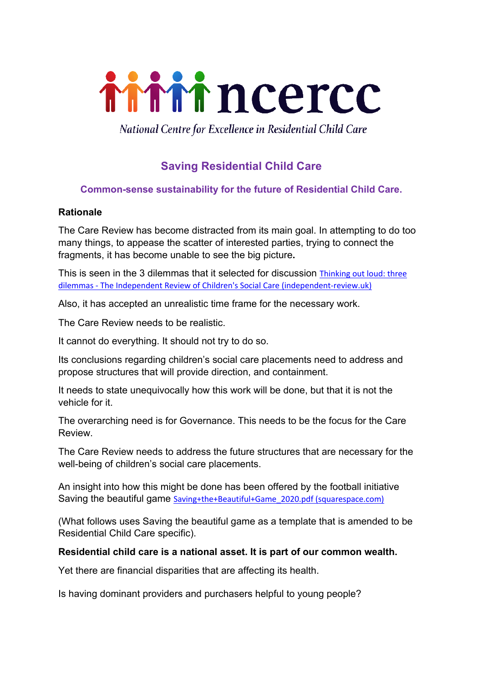

National Centre for Excellence in Residential Child Care

# **Saving Residential Child Care**

# **Common-sense sustainability for the future of Residential Child Care.**

#### **Rationale**

The Care Review has become distracted from its main goal. In attempting to do too many things, to appease the scatter of interested parties, trying to connect the fragments, it has become unable to see the big picture**.** 

This is seen in the 3 dilemmas that it selected for discussion Thinking out loud: three dilemmas - The Independent Review of Children's Social Care (independent-review.uk)

Also, it has accepted an unrealistic time frame for the necessary work.

The Care Review needs to be realistic.

It cannot do everything. It should not try to do so.

Its conclusions regarding children's social care placements need to address and propose structures that will provide direction, and containment.

It needs to state unequivocally how this work will be done, but that it is not the vehicle for it.

The overarching need is for Governance. This needs to be the focus for the Care Review.

The Care Review needs to address the future structures that are necessary for the well-being of children's social care placements.

An insight into how this might be done has been offered by the football initiative Saving the beautiful game Saving+the+Beautiful+Game\_2020.pdf (squarespace.com)

(What follows uses Saving the beautiful game as a template that is amended to be Residential Child Care specific).

#### **Residential child care is a national asset. It is part of our common wealth.**

Yet there are financial disparities that are affecting its health.

Is having dominant providers and purchasers helpful to young people?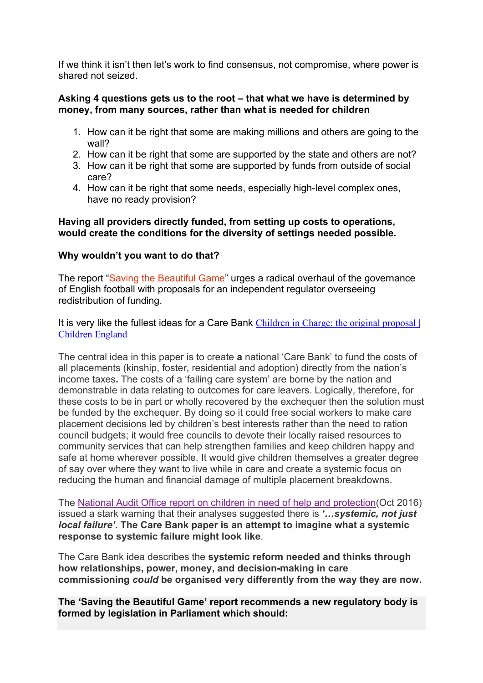If we think it isn't then let's work to find consensus, not compromise, where power is shared not seized.

#### **Asking 4 questions gets us to the root – that what we have is determined by money, from many sources, rather than what is needed for children**

- 1. How can it be right that some are making millions and others are going to the wall?
- 2. How can it be right that some are supported by the state and others are not?
- 3. How can it be right that some are supported by funds from outside of social care?
- 4. How can it be right that some needs, especially high-level complex ones, have no ready provision?

#### **Having all providers directly funded, from setting up costs to operations, would create the conditions for the diversity of settings needed possible.**

## **Why wouldn't you want to do that?**

The report "Saving the Beautiful Game" urges a radical overhaul of the governance of English football with proposals for an independent regulator overseeing redistribution of funding.

It is very like the fullest ideas for a Care Bank Children in Charge: the original proposal Children England

The central idea in this paper is to create **a** national 'Care Bank' to fund the costs of all placements (kinship, foster, residential and adoption) directly from the nation's income taxes**.** The costs of a 'failing care system' are borne by the nation and demonstrable in data relating to outcomes for care leavers. Logically, therefore, for these costs to be in part or wholly recovered by the exchequer then the solution must be funded by the exchequer. By doing so it could free social workers to make care placement decisions led by children's best interests rather than the need to ration council budgets; it would free councils to devote their locally raised resources to community services that can help strengthen families and keep children happy and safe at home wherever possible. It would give children themselves a greater degree of say over where they want to live while in care and create a systemic focus on reducing the human and financial damage of multiple placement breakdowns.

The National Audit Office report on children in need of help and protection(Oct 2016) issued a stark warning that their analyses suggested there is *'…systemic, not just local failure'***. The Care Bank paper is an attempt to imagine what a systemic response to systemic failure might look like**.

The Care Bank idea describes the **systemic reform needed and thinks through how relationships, power, money, and decision-making in care commissioning** *could* **be organised very differently from the way they are now.**

**The 'Saving the Beautiful Game' report recommends a new regulatory body is formed by legislation in Parliament which should:**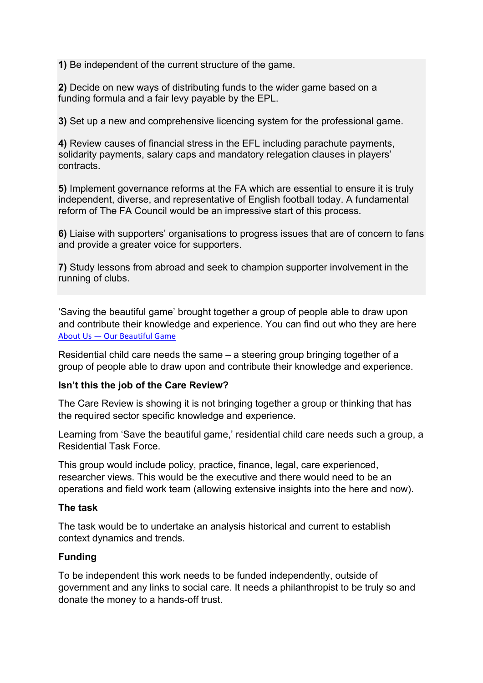**1)** Be independent of the current structure of the game.

**2)** Decide on new ways of distributing funds to the wider game based on a funding formula and a fair levy payable by the EPL.

**3)** Set up a new and comprehensive licencing system for the professional game.

**4)** Review causes of financial stress in the EFL including parachute payments, solidarity payments, salary caps and mandatory relegation clauses in players' contracts.

**5)** Implement governance reforms at the FA which are essential to ensure it is truly independent, diverse, and representative of English football today. A fundamental reform of The FA Council would be an impressive start of this process.

**6)** Liaise with supporters' organisations to progress issues that are of concern to fans and provide a greater voice for supporters.

**7)** Study lessons from abroad and seek to champion supporter involvement in the running of clubs.

'Saving the beautiful game' brought together a group of people able to draw upon and contribute their knowledge and experience. You can find out who they are here About Us — Our Beautiful Game

Residential child care needs the same – a steering group bringing together of a group of people able to draw upon and contribute their knowledge and experience.

#### **Isn't this the job of the Care Review?**

The Care Review is showing it is not bringing together a group or thinking that has the required sector specific knowledge and experience.

Learning from 'Save the beautiful game,' residential child care needs such a group, a Residential Task Force.

This group would include policy, practice, finance, legal, care experienced, researcher views. This would be the executive and there would need to be an operations and field work team (allowing extensive insights into the here and now).

#### **The task**

The task would be to undertake an analysis historical and current to establish context dynamics and trends.

# **Funding**

To be independent this work needs to be funded independently, outside of government and any links to social care. It needs a philanthropist to be truly so and donate the money to a hands-off trust.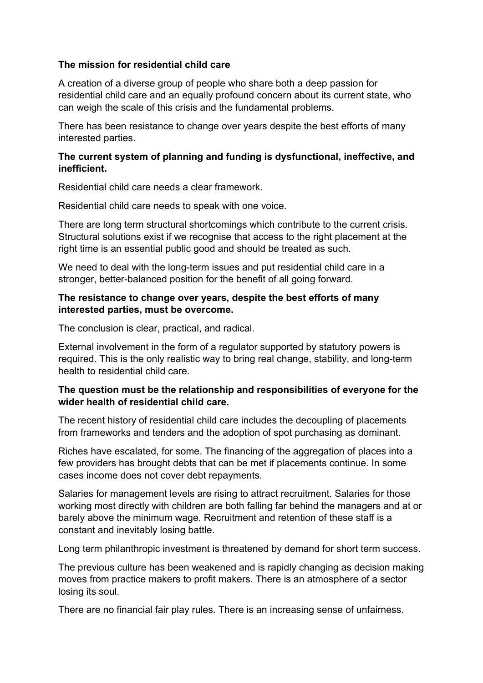## **The mission for residential child care**

A creation of a diverse group of people who share both a deep passion for residential child care and an equally profound concern about its current state, who can weigh the scale of this crisis and the fundamental problems.

There has been resistance to change over years despite the best efforts of many interested parties.

## **The current system of planning and funding is dysfunctional, ineffective, and inefficient.**

Residential child care needs a clear framework.

Residential child care needs to speak with one voice.

There are long term structural shortcomings which contribute to the current crisis. Structural solutions exist if we recognise that access to the right placement at the right time is an essential public good and should be treated as such.

We need to deal with the long-term issues and put residential child care in a stronger, better-balanced position for the benefit of all going forward.

#### **The resistance to change over years, despite the best efforts of many interested parties, must be overcome.**

The conclusion is clear, practical, and radical.

External involvement in the form of a regulator supported by statutory powers is required. This is the only realistic way to bring real change, stability, and long-term health to residential child care.

# **The question must be the relationship and responsibilities of everyone for the wider health of residential child care.**

The recent history of residential child care includes the decoupling of placements from frameworks and tenders and the adoption of spot purchasing as dominant.

Riches have escalated, for some. The financing of the aggregation of places into a few providers has brought debts that can be met if placements continue. In some cases income does not cover debt repayments.

Salaries for management levels are rising to attract recruitment. Salaries for those working most directly with children are both falling far behind the managers and at or barely above the minimum wage. Recruitment and retention of these staff is a constant and inevitably losing battle.

Long term philanthropic investment is threatened by demand for short term success.

The previous culture has been weakened and is rapidly changing as decision making moves from practice makers to profit makers. There is an atmosphere of a sector losing its soul.

There are no financial fair play rules. There is an increasing sense of unfairness.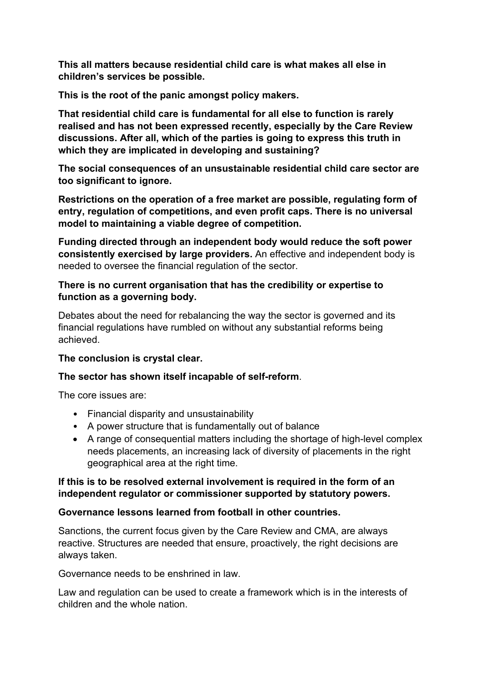**This all matters because residential child care is what makes all else in children's services be possible.** 

**This is the root of the panic amongst policy makers.** 

**That residential child care is fundamental for all else to function is rarely realised and has not been expressed recently, especially by the Care Review discussions. After all, which of the parties is going to express this truth in which they are implicated in developing and sustaining?**

**The social consequences of an unsustainable residential child care sector are too significant to ignore.**

**Restrictions on the operation of a free market are possible, regulating form of entry, regulation of competitions, and even profit caps. There is no universal model to maintaining a viable degree of competition.** 

**Funding directed through an independent body would reduce the soft power consistently exercised by large providers.** An effective and independent body is needed to oversee the financial regulation of the sector.

## **There is no current organisation that has the credibility or expertise to function as a governing body.**

Debates about the need for rebalancing the way the sector is governed and its financial regulations have rumbled on without any substantial reforms being achieved.

# **The conclusion is crystal clear.**

# **The sector has shown itself incapable of self-reform**.

The core issues are:

- Financial disparity and unsustainability
- A power structure that is fundamentally out of balance
- A range of consequential matters including the shortage of high-level complex needs placements, an increasing lack of diversity of placements in the right geographical area at the right time.

## **If this is to be resolved external involvement is required in the form of an independent regulator or commissioner supported by statutory powers.**

# **Governance lessons learned from football in other countries.**

Sanctions, the current focus given by the Care Review and CMA, are always reactive. Structures are needed that ensure, proactively, the right decisions are always taken.

Governance needs to be enshrined in law.

Law and regulation can be used to create a framework which is in the interests of children and the whole nation.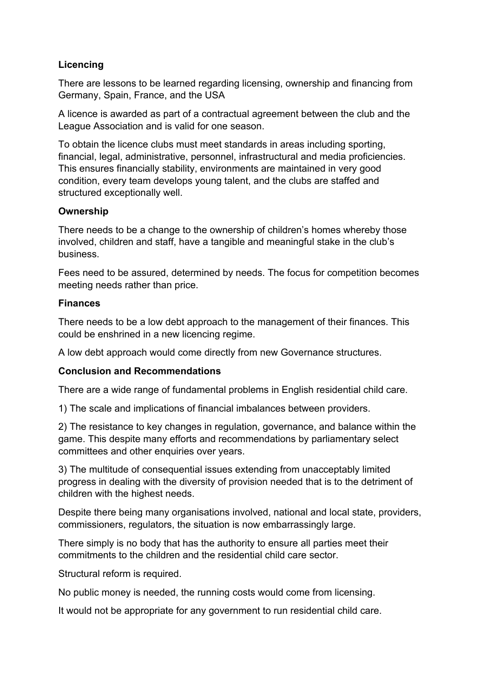# **Licencing**

There are lessons to be learned regarding licensing, ownership and financing from Germany, Spain, France, and the USA

A licence is awarded as part of a contractual agreement between the club and the League Association and is valid for one season.

To obtain the licence clubs must meet standards in areas including sporting, financial, legal, administrative, personnel, infrastructural and media proficiencies. This ensures financially stability, environments are maintained in very good condition, every team develops young talent, and the clubs are staffed and structured exceptionally well.

## **Ownership**

There needs to be a change to the ownership of children's homes whereby those involved, children and staff, have a tangible and meaningful stake in the club's business.

Fees need to be assured, determined by needs. The focus for competition becomes meeting needs rather than price.

## **Finances**

There needs to be a low debt approach to the management of their finances. This could be enshrined in a new licencing regime.

A low debt approach would come directly from new Governance structures.

# **Conclusion and Recommendations**

There are a wide range of fundamental problems in English residential child care.

1) The scale and implications of financial imbalances between providers.

2) The resistance to key changes in regulation, governance, and balance within the game. This despite many efforts and recommendations by parliamentary select committees and other enquiries over years.

3) The multitude of consequential issues extending from unacceptably limited progress in dealing with the diversity of provision needed that is to the detriment of children with the highest needs.

Despite there being many organisations involved, national and local state, providers, commissioners, regulators, the situation is now embarrassingly large.

There simply is no body that has the authority to ensure all parties meet their commitments to the children and the residential child care sector.

Structural reform is required.

No public money is needed, the running costs would come from licensing.

It would not be appropriate for any government to run residential child care.